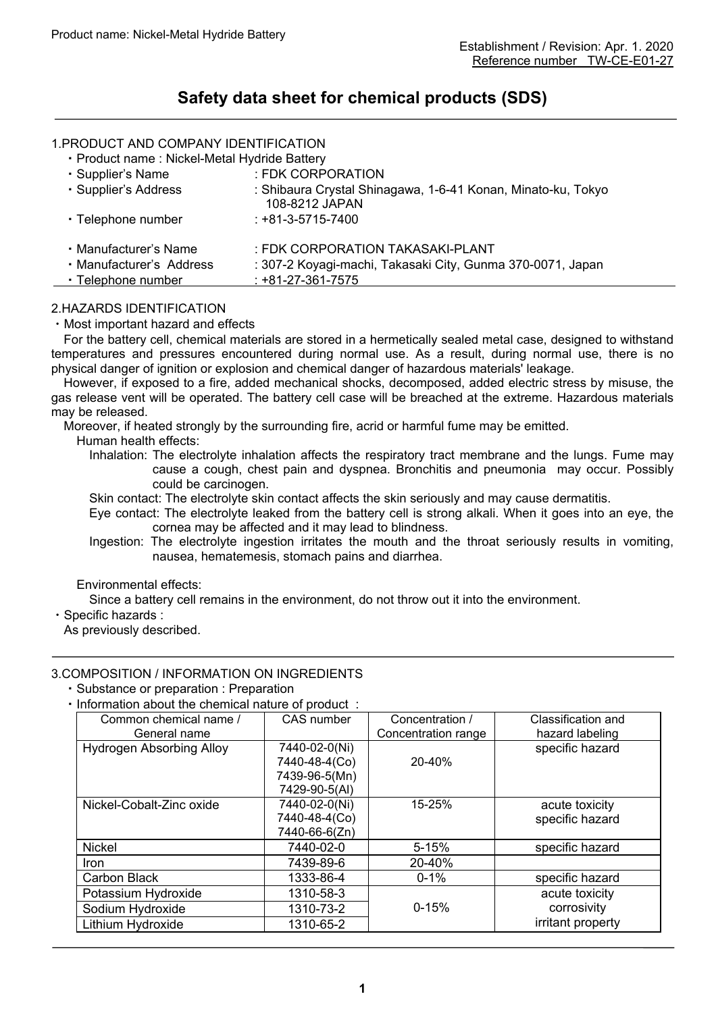# **Safety data sheet for chemical products (SDS)**

# 1.PRODUCT AND COMPANY IDENTIFICATION

| · Product name: Nickel-Metal Hydride Battery                                                           |                                                            |  |  |  |  |
|--------------------------------------------------------------------------------------------------------|------------------------------------------------------------|--|--|--|--|
| · Supplier's Name                                                                                      | : FDK CORPORATION                                          |  |  |  |  |
| · Supplier's Address<br>: Shibaura Crystal Shinagawa, 1-6-41 Konan, Minato-ku, Tokyo<br>108-8212 JAPAN |                                                            |  |  |  |  |
| $: +81 - 3 - 5715 - 7400$<br>• Telephone number                                                        |                                                            |  |  |  |  |
| • Manufacturer's Name                                                                                  | : FDK CORPORATION TAKASAKI-PLANT                           |  |  |  |  |
| • Manufacturer's Address                                                                               | : 307-2 Koyagi-machi, Takasaki City, Gunma 370-0071, Japan |  |  |  |  |
| • Telephone number                                                                                     | $: +81-27-361-7575$                                        |  |  |  |  |

#### 2.HAZARDS IDENTIFICATION

#### ・Most important hazard and effects

For the battery cell, chemical materials are stored in a hermetically sealed metal case, designed to withstand temperatures and pressures encountered during normal use. As a result, during normal use, there is no physical danger of ignition or explosion and chemical danger of hazardous materials' leakage.

However, if exposed to a fire, added mechanical shocks, decomposed, added electric stress by misuse, the gas release vent will be operated. The battery cell case will be breached at the extreme. Hazardous materials may be released.

Moreover, if heated strongly by the surrounding fire, acrid or harmful fume may be emitted.

- Human health effects:
	- Inhalation: The electrolyte inhalation affects the respiratory tract membrane and the lungs. Fume may cause a cough, chest pain and dyspnea. Bronchitis and pneumonia may occur. Possibly could be carcinogen.

Skin contact: The electrolyte skin contact affects the skin seriously and may cause dermatitis.

Eye contact: The electrolyte leaked from the battery cell is strong alkali. When it goes into an eye, the cornea may be affected and it may lead to blindness.

Ingestion: The electrolyte ingestion irritates the mouth and the throat seriously results in vomiting, nausea, hematemesis, stomach pains and diarrhea.

#### Environmental effects:

Since a battery cell remains in the environment, do not throw out it into the environment.

・Specific hazards :

As previously described.

# 3.COMPOSITION / INFORMATION ON INGREDIENTS

・Substance or preparation : Preparation

・Information about the chemical nature of product :

| Common chemical name /          | <b>CAS</b> number | Concentration /     | Classification and |
|---------------------------------|-------------------|---------------------|--------------------|
| General name                    |                   | Concentration range | hazard labeling    |
| <b>Hydrogen Absorbing Alloy</b> | 7440-02-0(Ni)     |                     | specific hazard    |
|                                 | 7440-48-4(Co)     | $20 - 40%$          |                    |
|                                 | 7439-96-5(Mn)     |                     |                    |
|                                 | 7429-90-5(AI)     |                     |                    |
| Nickel-Cobalt-Zinc oxide        | 7440-02-0(Ni)     | 15-25%              | acute toxicity     |
|                                 | 7440-48-4(Co)     |                     | specific hazard    |
|                                 | 7440-66-6(Zn)     |                     |                    |
| <b>Nickel</b>                   | 7440-02-0         | $5 - 15%$           | specific hazard    |
| Iron                            | 7439-89-6         | 20-40%              |                    |
| <b>Carbon Black</b>             | 1333-86-4         | $0 - 1%$            | specific hazard    |
| Potassium Hydroxide             | 1310-58-3         |                     | acute toxicity     |
| Sodium Hydroxide                | 1310-73-2         | $0 - 15%$           | corrosivity        |
| Lithium Hydroxide               | 1310-65-2         |                     | irritant property  |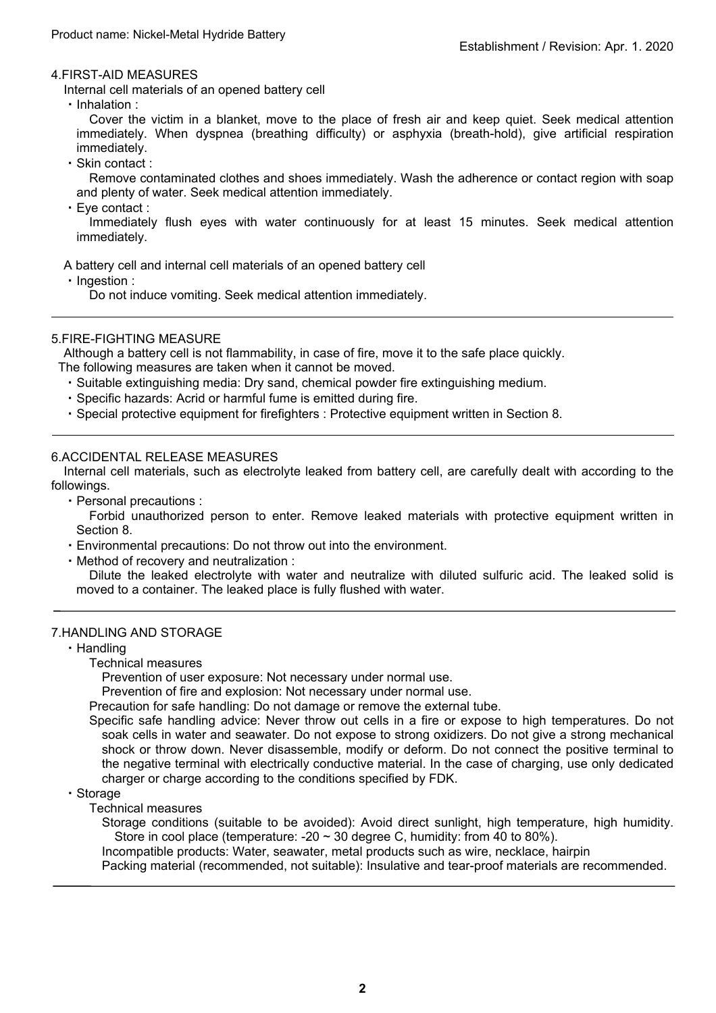#### 4.FIRST-AID MEASURES

Internal cell materials of an opened battery cell

・Inhalation :

Cover the victim in a blanket, move to the place of fresh air and keep quiet. Seek medical attention immediately. When dyspnea (breathing difficulty) or asphyxia (breath-hold), give artificial respiration immediately.

・Skin contact :

Remove contaminated clothes and shoes immediately. Wash the adherence or contact region with soap and plenty of water. Seek medical attention immediately.

・Eye contact :

Immediately flush eyes with water continuously for at least 15 minutes. Seek medical attention immediately.

A battery cell and internal cell materials of an opened battery cell

・Ingestion :

Do not induce vomiting. Seek medical attention immediately.

# 5.FIRE-FIGHTING MEASURE

Although a battery cell is not flammability, in case of fire, move it to the safe place quickly.

- The following measures are taken when it cannot be moved.
	- ・Suitable extinguishing media: Dry sand, chemical powder fire extinguishing medium.
	- ・Specific hazards: Acrid or harmful fume is emitted during fire.
	- ・Special protective equipment for firefighters : Protective equipment written in Section 8.

# 6.ACCIDENTAL RELEASE MEASURES

Internal cell materials, such as electrolyte leaked from battery cell, are carefully dealt with according to the followings.

- ・Personal precautions :
	- Forbid unauthorized person to enter. Remove leaked materials with protective equipment written in Section 8.
- ・Environmental precautions: Do not throw out into the environment.
- ・Method of recovery and neutralization :

Dilute the leaked electrolyte with water and neutralize with diluted sulfuric acid. The leaked solid is moved to a container. The leaked place is fully flushed with water.

#### 7.HANDLING AND STORAGE

- ・Handling
	- Technical measures

Prevention of user exposure: Not necessary under normal use.

Prevention of fire and explosion: Not necessary under normal use.

Precaution for safe handling: Do not damage or remove the external tube.

Specific safe handling advice: Never throw out cells in a fire or expose to high temperatures. Do not soak cells in water and seawater. Do not expose to strong oxidizers. Do not give a strong mechanical shock or throw down. Never disassemble, modify or deform. Do not connect the positive terminal to the negative terminal with electrically conductive material. In the case of charging, use only dedicated charger or charge according to the conditions specified by FDK.

#### ・Storage

Technical measures

Storage conditions (suitable to be avoided): Avoid direct sunlight, high temperature, high humidity. Store in cool place (temperature: -20  $\sim$  30 degree C, humidity: from 40 to 80%).

Incompatible products: Water, seawater, metal products such as wire, necklace, hairpin

Packing material (recommended, not suitable): Insulative and tear-proof materials are recommended.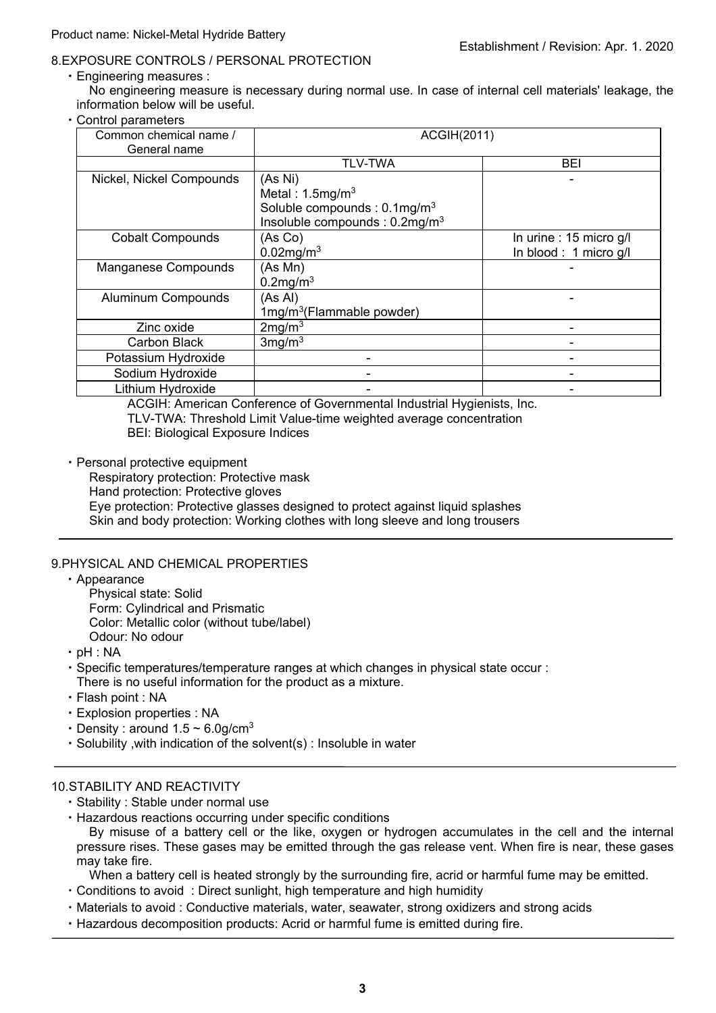# 8.EXPOSURE CONTROLS / PERSONAL PROTECTION

・Engineering measures :

No engineering measure is necessary during normal use. In case of internal cell materials' leakage, the information below will be useful.

・Control parameters

| Common chemical name /<br>General name | ACGIH(2011)                                                                                                                    |                                                 |  |
|----------------------------------------|--------------------------------------------------------------------------------------------------------------------------------|-------------------------------------------------|--|
|                                        | <b>TLV-TWA</b>                                                                                                                 | BEI                                             |  |
| Nickel, Nickel Compounds               | (As Ni)<br>Metal: $1.5 \text{mg/m}^3$<br>Soluble compounds : $0.1 \text{mg/m}^3$<br>Insoluble compounds : 0.2mg/m <sup>3</sup> |                                                 |  |
| <b>Cobalt Compounds</b>                | (As Co)<br>$0.02$ mg/m <sup>3</sup>                                                                                            | In urine: 15 micro g/l<br>In blood: 1 micro g/l |  |
| Manganese Compounds                    | (As Mn)<br>$0.2$ mg/m $3$                                                                                                      |                                                 |  |
| <b>Aluminum Compounds</b>              | (As Al)<br>$1mg/m3$ (Flammable powder)                                                                                         |                                                 |  |
| Zinc oxide                             | 2mg/m <sup>3</sup>                                                                                                             |                                                 |  |
| <b>Carbon Black</b>                    | $3$ mg/m $3$                                                                                                                   |                                                 |  |
| Potassium Hydroxide                    |                                                                                                                                |                                                 |  |
| Sodium Hydroxide                       |                                                                                                                                |                                                 |  |
| Lithium Hydroxide                      |                                                                                                                                |                                                 |  |

ACGIH: American Conference of Governmental Industrial Hygienists, Inc. TLV-TWA: Threshold Limit Value-time weighted average concentration BEI: Biological Exposure Indices

・Personal protective equipment

Respiratory protection: Protective mask Hand protection: Protective gloves Eye protection: Protective glasses designed to protect against liquid splashes Skin and body protection: Working clothes with long sleeve and long trousers

# 9.PHYSICAL AND CHEMICAL PROPERTIES

・Appearance

Physical state: Solid Form: Cylindrical and Prismatic

Color: Metallic color (without tube/label)

Odour: No odour

・pH : NA

・Specific temperatures/temperature ranges at which changes in physical state occur : There is no useful information for the product as a mixture.

- ・Flash point : NA
- ・Explosion properties : NA
- Density : around  $1.5 \sim 6.0$  g/cm<sup>3</sup>
- ・Solubility ,with indication of the solvent(s) : Insoluble in water

#### 10.STABILITY AND REACTIVITY

- ・Stability : Stable under normal use
- ・Hazardous reactions occurring under specific conditions

By misuse of a battery cell or the like, oxygen or hydrogen accumulates in the cell and the internal pressure rises. These gases may be emitted through the gas release vent. When fire is near, these gases may take fire.

When a battery cell is heated strongly by the surrounding fire, acrid or harmful fume may be emitted.

- ・Conditions to avoid : Direct sunlight, high temperature and high humidity
- ・Materials to avoid : Conductive materials, water, seawater, strong oxidizers and strong acids
- ・Hazardous decomposition products: Acrid or harmful fume is emitted during fire.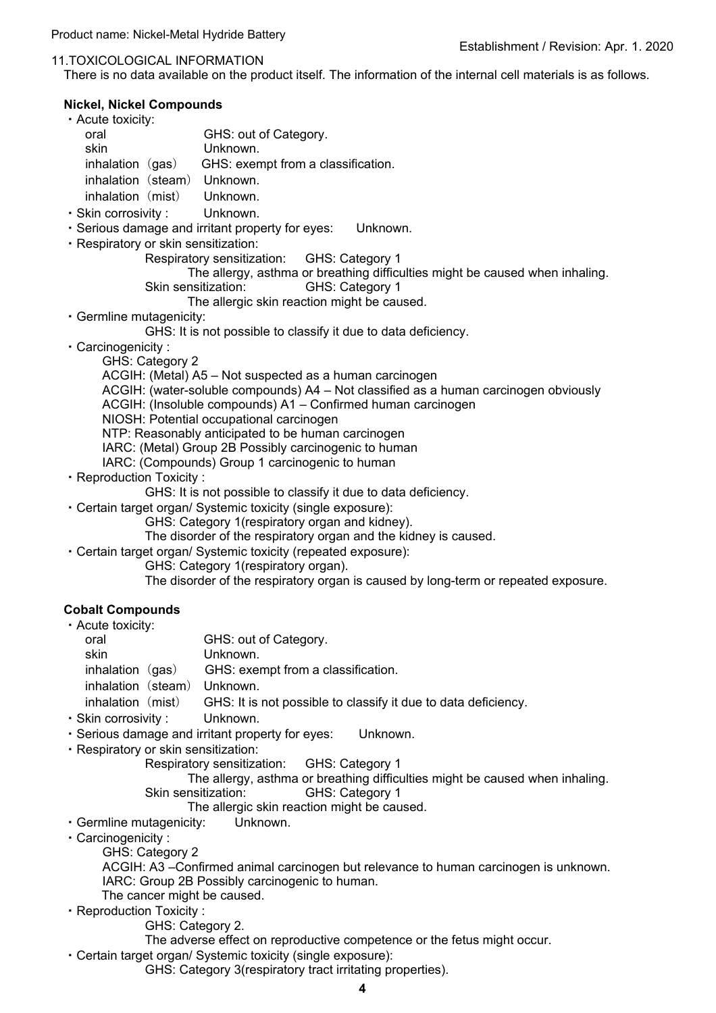#### Product name: Nickel-Metal Hydride Battery

#### 11.TOXICOLOGICAL INFORMATION

There is no data available on the product itself. The information of the internal cell materials is as follows.

#### **Nickel, Nickel Compounds**

- ・Acute toxicity:
	- oral GHS: out of Category. skin Unknown. inhalation  $(gas)$  GHS: exempt from a classification. inhalation (steam) Unknown. inhalation (mist) Unknown
- ・Skin corrosivity : Unknown.
- ・Serious damage and irritant property for eyes: Unknown.
- ・Respiratory or skin sensitization:
	- Respiratory sensitization: GHS: Category 1
	- The allergy, asthma or breathing difficulties might be caused when inhaling.
	- Skin sensitization: GHS: Category 1
		- The allergic skin reaction might be caused.
- ・Germline mutagenicity:
	- GHS: It is not possible to classify it due to data deficiency.
- ・Carcinogenicity :
	- GHS: Category 2
	- ACGIH: (Metal) A5 Not suspected as a human carcinogen
	- ACGIH: (water-soluble compounds) A4 Not classified as a human carcinogen obviously
	- ACGIH: (Insoluble compounds) A1 Confirmed human carcinogen
	- NIOSH: Potential occupational carcinogen
	- NTP: Reasonably anticipated to be human carcinogen
	- IARC: (Metal) Group 2B Possibly carcinogenic to human
	- IARC: (Compounds) Group 1 carcinogenic to human
- ・Reproduction Toxicity :
	- GHS: It is not possible to classify it due to data deficiency.
- ・Certain target organ/ Systemic toxicity (single exposure):
	- GHS: Category 1(respiratory organ and kidney).
	- The disorder of the respiratory organ and the kidney is caused.
- ・Certain target organ/ Systemic toxicity (repeated exposure):
	- GHS: Category 1(respiratory organ).
	- The disorder of the respiratory organ is caused by long-term or repeated exposure.

#### **Cobalt Compounds**

| • Acute toxicity:   |                                                                |
|---------------------|----------------------------------------------------------------|
| oral                | GHS: out of Category.                                          |
| skin                | Unknown.                                                       |
| inhalation $(gas)$  | GHS: exempt from a classification.                             |
| inhalation (steam)  | Unknown.                                                       |
| inhalation (mist)   | GHS: It is not possible to classify it due to data deficiency. |
| · Skin corrosivity: | Unknown.                                                       |

- ・Serious damage and irritant property for eyes: Unknown.
- ・Respiratory or skin sensitization:
	- Respiratory sensitization: GHS: Category 1
	- The allergy, asthma or breathing difficulties might be caused when inhaling. Skin sensitization: GHS: Category 1
		- The allergic skin reaction might be caused.
- ・Germline mutagenicity: Unknown.
- ・Carcinogenicity :
	- GHS: Category 2
	- ACGIH: A3 –Confirmed animal carcinogen but relevance to human carcinogen is unknown. IARC: Group 2B Possibly carcinogenic to human.
	- The cancer might be caused.
- ・Reproduction Toxicity :
	- GHS: Category 2.
	- The adverse effect on reproductive competence or the fetus might occur.
- ・Certain target organ/ Systemic toxicity (single exposure):
	- GHS: Category 3(respiratory tract irritating properties).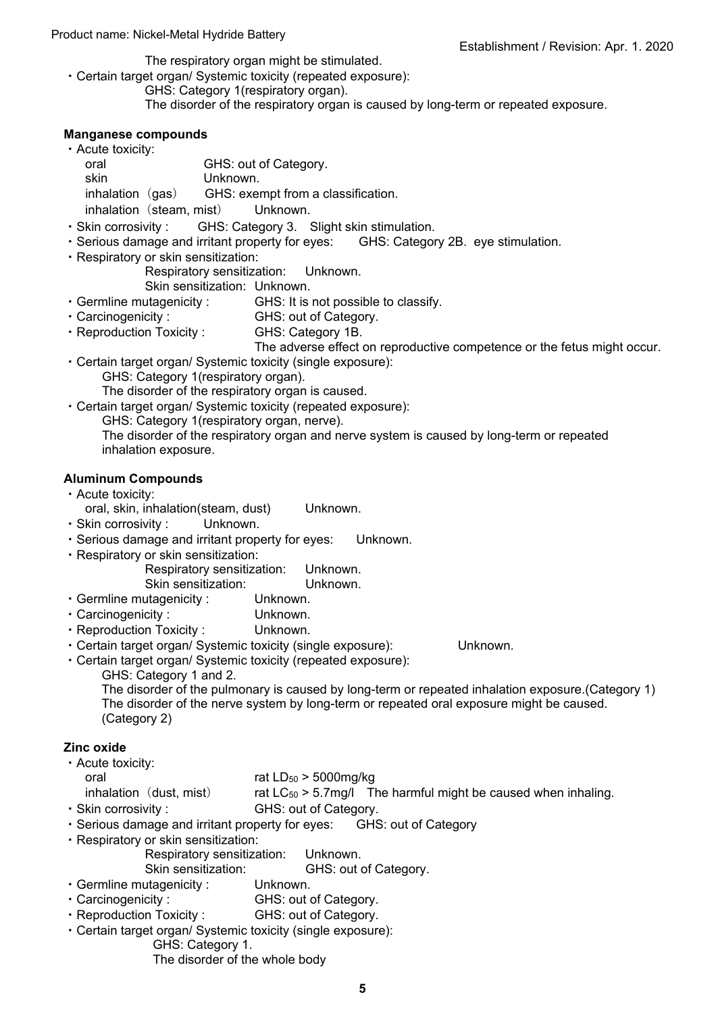The respiratory organ might be stimulated. ・Certain target organ/ Systemic toxicity (repeated exposure):

GHS: Category 1(respiratory organ).

The disorder of the respiratory organ is caused by long-term or repeated exposure.

### **Manganese compounds**

| • Acute toxicity:                                   |                                                                                                                                                                                                                                  |          |                       |  |  |  |
|-----------------------------------------------------|----------------------------------------------------------------------------------------------------------------------------------------------------------------------------------------------------------------------------------|----------|-----------------------|--|--|--|
| oral                                                |                                                                                                                                                                                                                                  |          | GHS: out of Category. |  |  |  |
| skin                                                |                                                                                                                                                                                                                                  | Unknown. |                       |  |  |  |
| inhalation (gas) GHS: exempt from a classification. |                                                                                                                                                                                                                                  |          |                       |  |  |  |
| inhalation (steam, mist) Unknown.                   |                                                                                                                                                                                                                                  |          |                       |  |  |  |
|                                                     | $\mathbf{r}$ . All a strip is the strip of the strip in the strip in the strip in the strip in the strip in the strip in the strip in the strip in the strip in the strip in the strip in the strip in the strip in the strip in |          |                       |  |  |  |

- ・Skin corrosivity : GHS: Category 3. Slight skin stimulation.
- ・Serious damage and irritant property for eyes: GHS: Category 2B. eye stimulation.
- ・Respiratory or skin sensitization:

Respiratory sensitization: Unknown.

- Skin sensitization: Unknown.
- ・Germline mutagenicity : GHS: It is not possible to classify.
- ・Carcinogenicity : GHS: out of Category.
- ・Reproduction Toxicity : GHS: Category 1B.

The adverse effect on reproductive competence or the fetus might occur.

・Certain target organ/ Systemic toxicity (single exposure): GHS: Category 1 (respiratory organ).

The disorder of the respiratory organ is caused.

・Certain target organ/ Systemic toxicity (repeated exposure):

GHS: Category 1(respiratory organ, nerve).

The disorder of the respiratory organ and nerve system is caused by long-term or repeated inhalation exposure.

# **Aluminum Compounds**

#### ・Acute toxicity:

- oral, skin, inhalation(steam, dust) Unknown.
- ・Skin corrosivity : Unknown.
- ・Serious damage and irritant property for eyes: Unknown.
- ・Respiratory or skin sensitization:

| Respiratory sensitization: | Unknown. |
|----------------------------|----------|
| Skin sensitization:        | Unknown. |

- ・Germline mutagenicity : Unknown.
- ・Carcinogenicity : Unknown.
- ・Reproduction Toxicity : Unknown.
- ・Certain target organ/ Systemic toxicity (single exposure): Unknown.

・Certain target organ/ Systemic toxicity (repeated exposure):

GHS: Category 1 and 2.

The disorder of the pulmonary is caused by long-term or repeated inhalation exposure.(Category 1) The disorder of the nerve system by long-term or repeated oral exposure might be caused. (Category 2)

# **Zinc oxide**

- ・Acute toxicity:
	- oral rat LD<sub>50</sub> > 5000mg/kg
	- inhalation (dust, mist) rat  $LC_{50}$  > 5.7mg/l The harmful might be caused when inhaling.
- ・Skin corrosivity : GHS: out of Category.
- ・Serious damage and irritant property for eyes: GHS: out of Category
- ・Respiratory or skin sensitization:
	- Respiratory sensitization: Unknown.
	- Skin sensitization: GHS: out of Category.
- ・Germline mutagenicity : Unknown.
- ・Carcinogenicity : GHS: out of Category.
- ・Reproduction Toxicity : GHS: out of Category.
- ・Certain target organ/ Systemic toxicity (single exposure):
	- GHS: Category 1.

The disorder of the whole body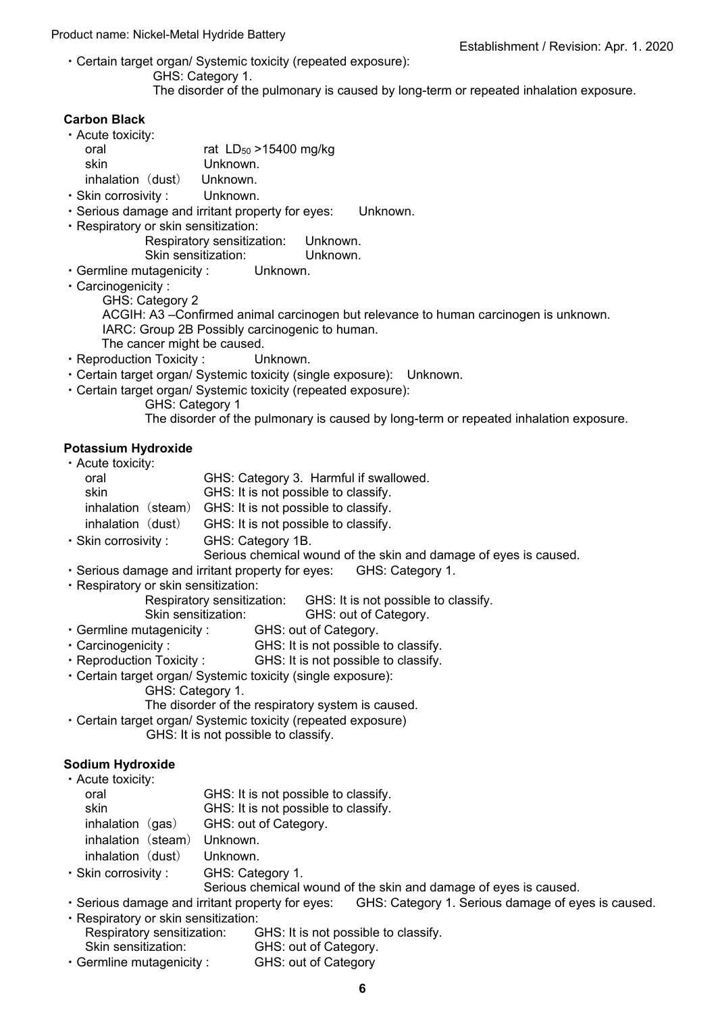#### Product name: Nickel-Metal Hydride Battery

- ・Certain target organ/ Systemic toxicity (repeated exposure):
	- GHS: Category 1.
	- The disorder of the pulmonary is caused by long-term or repeated inhalation exposure.

# **Carbon Black**

| • Acute toxicity: |                             |
|-------------------|-----------------------------|
| oral              | rat $LD_{50} > 15400$ mg/kg |
| skin              | Unknown.                    |
| inhalation (dust) | Unknown.                    |

- ・Skin corrosivity : Unknown.
- ・Serious damage and irritant property for eyes: Unknown.
- ・Respiratory or skin sensitization:

Respiratory sensitization: Unknown. Skin sensitization: Unknown.

- ・Germline mutagenicity : Unknown.
- ・Carcinogenicity :

GHS: Category 2

ACGIH: A3 –Confirmed animal carcinogen but relevance to human carcinogen is unknown. IARC: Group 2B Possibly carcinogenic to human.

- The cancer might be caused. ・Reproduction Toxicity : Unknown.
- ・Certain target organ/ Systemic toxicity (single exposure): Unknown.
- ・Certain target organ/ Systemic toxicity (repeated exposure):
	- GHS: Category 1 The disorder of the pulmonary is caused by long-term or repeated inhalation exposure.

# **Potassium Hydroxide**

| · Acute toxicity:    |                                                                  |
|----------------------|------------------------------------------------------------------|
| oral                 | GHS: Category 3. Harmful if swallowed.                           |
| skin                 | GHS: It is not possible to classify.                             |
| inhalation           | (steam) GHS: It is not possible to classify.                     |
| inhalation (dust)    | GHS: It is not possible to classify.                             |
| · Skin corrosivity : | GHS: Category 1B.                                                |
|                      | Serious chemical wound of the skin and damage of eyes is caused. |

- ・Serious damage and irritant property for eyes: GHS: Category 1.
- ・Respiratory or skin sensitization:
	- Respiratory sensitization: GHS: It is not possible to classify.
	- Skin sensitization: GHS: out of Category.
- ・Germline mutagenicity : GHS: out of Category.
- ・Carcinogenicity : GHS: It is not possible to classify.
- ・Reproduction Toxicity : GHS: It is not possible to classify.
- ・Certain target organ/ Systemic toxicity (single exposure):
	- GHS: Category 1.

The disorder of the respiratory system is caused.

・Certain target organ/ Systemic toxicity (repeated exposure) GHS: It is not possible to classify.

# **Sodium Hydroxide**

| · Acute toxicity:           |                                      |
|-----------------------------|--------------------------------------|
| oral                        | GHS: It is not possible to classify. |
| skin                        | GHS: It is not possible to classify. |
| inhalation $(gas)$          | GHS: out of Category.                |
| inhalation (steam) Unknown. |                                      |
| inhalation (dust) Unknown.  |                                      |
|                             |                                      |

・Skin corrosivity : GHS: Category 1.

Serious chemical wound of the skin and damage of eyes is caused.

- ・Serious damage and irritant property for eyes: GHS: Category 1. Serious damage of eyes is caused. ・Respiratory or skin sensitization:
- Respiratory sensitization: GHS: It is not possible to classify. Skin sensitization: GHS: out of Category. ・Germline mutagenicity : GHS: out of Category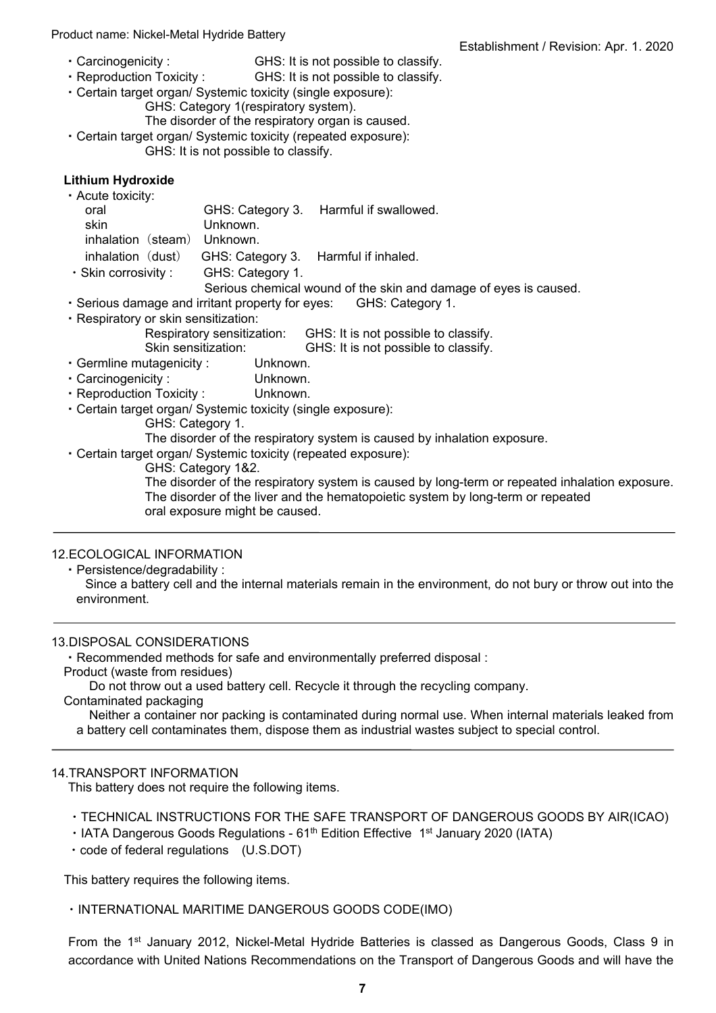#### Product name: Nickel-Metal Hydride Battery

- ・Carcinogenicity : GHS: It is not possible to classify.
- ・Reproduction Toxicity : GHS: It is not possible to classify.
- ・Certain target organ/ Systemic toxicity (single exposure):
	- GHS: Category 1(respiratory system).
	- The disorder of the respiratory organ is caused.
- ・Certain target organ/ Systemic toxicity (repeated exposure): GHS: It is not possible to classify.

# **Lithium Hydroxide**

| · Acute toxicity:           |                                      |                                                                  |
|-----------------------------|--------------------------------------|------------------------------------------------------------------|
| oral                        |                                      | GHS: Category 3. Harmful if swallowed.                           |
| skin                        | Unknown.                             |                                                                  |
| inhalation (steam) Unknown. |                                      |                                                                  |
| inhalation (dust)           | GHS: Category 3. Harmful if inhaled. |                                                                  |
| $\cdot$ Skin corrosivity :  | GHS: Category 1.                     |                                                                  |
|                             |                                      | Serious chemical wound of the skin and damage of eyes is caused. |

- ・Serious damage and irritant property for eyes: GHS: Category 1.
- ・Respiratory or skin sensitization:
	- Respiratory sensitization: GHS: It is not possible to classify.
		- Skin sensitization: GHS: It is not possible to classify.
- ・Germline mutagenicity : Unknown.
- ・Carcinogenicity : Unknown.
- ・Reproduction Toxicity : Unknown.
- ・Certain target organ/ Systemic toxicity (single exposure):
	- GHS: Category 1.
		- The disorder of the respiratory system is caused by inhalation exposure.
- ・Certain target organ/ Systemic toxicity (repeated exposure):
	- GHS: Category 1&2.

The disorder of the respiratory system is caused by long-term or repeated inhalation exposure. The disorder of the liver and the hematopoietic system by long-term or repeated oral exposure might be caused.

#### 12.ECOLOGICAL INFORMATION

・Persistence/degradability :

#### 13.DISPOSAL CONSIDERATIONS

・Recommended methods for safe and environmentally preferred disposal :

Product (waste from residues)

Do not throw out a used battery cell. Recycle it through the recycling company.

#### Contaminated packaging

Neither a container nor packing is contaminated during normal use. When internal materials leaked from a battery cell contaminates them, dispose them as industrial wastes subject to special control.

#### 14.TRANSPORT INFORMATION

This battery does not require the following items.

- ・TECHNICAL INSTRUCTIONS FOR THE SAFE TRANSPORT OF DANGEROUS GOODS BY AIR(ICAO)
- IATA Dangerous Goods Regulations 61<sup>th</sup> Edition Effective 1<sup>st</sup> January 2020 (IATA)
- ・code of federal regulations (U.S.DOT)

This battery requires the following items.

・INTERNATIONAL MARITIME DANGEROUS GOODS CODE(IMO)

From the 1<sup>st</sup> January 2012, Nickel-Metal Hydride Batteries is classed as Dangerous Goods, Class 9 in accordance with United Nations Recommendations on the Transport of Dangerous Goods and will have the

Since a battery cell and the internal materials remain in the environment, do not bury or throw out into the environment.